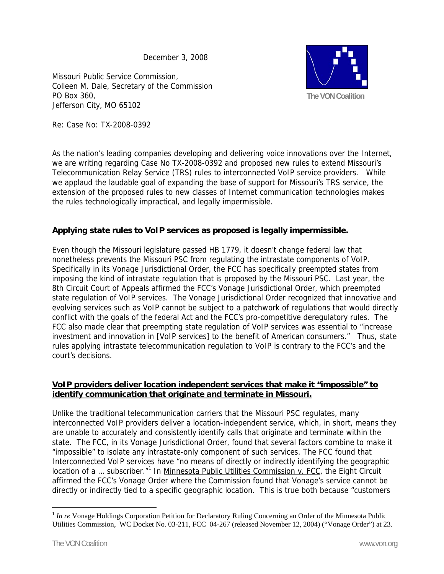December 3, 2008

Missouri Public Service Commission, Colleen M. Dale, Secretary of the Commission PO Box 360, Jefferson City, MO 65102



Re: Case No: TX-2008-0392

As the nation's leading companies developing and delivering voice innovations over the Internet, we are writing regarding Case No TX-2008-0392 and proposed new rules to extend Missouri's Telecommunication Relay Service (TRS) rules to interconnected VoIP service providers. While we applaud the laudable goal of expanding the base of support for Missouri's TRS service, the extension of the proposed rules to new classes of Internet communication technologies makes the rules technologically impractical, and legally impermissible.

# **Applying state rules to VoIP services as proposed is legally impermissible.**

Even though the Missouri legislature passed HB 1779, it doesn't change federal law that nonetheless prevents the Missouri PSC from regulating the intrastate components of VoIP. Specifically in its Vonage Jurisdictional Order, the FCC has specifically preempted states from imposing the kind of intrastate regulation that is proposed by the Missouri PSC. Last year, the 8th Circuit Court of Appeals affirmed the FCC's Vonage Jurisdictional Order, which preempted state regulation of VoIP services. The Vonage Jurisdictional Order recognized that innovative and evolving services such as VoIP cannot be subject to a patchwork of regulations that would directly conflict with the goals of the federal Act and the FCC's pro-competitive deregulatory rules. The FCC also made clear that preempting state regulation of VoIP services was essential to "increase investment and innovation in [VoIP services] to the benefit of American consumers." Thus, state rules applying intrastate telecommunication regulation to VoIP is contrary to the FCC's and the court's decisions.

# **VoIP providers deliver location independent services that make it "impossible" to identify communication that originate and terminate in Missouri.**

Unlike the traditional telecommunication carriers that the Missouri PSC regulates, many interconnected VoIP providers deliver a location-independent service, which, in short, means they are unable to accurately and consistently identify calls that originate and terminate within the state. The FCC, in its Vonage Jurisdictional Order, found that several factors combine to make it "impossible" to isolate any intrastate-only component of such services. The FCC found that Interconnected VoIP services have "no means of directly or indirectly identifying the geographic location of a ... subscriber."<sup>1</sup> In Minnesota Public Utilities Commission v. FCC, the Eight Circuit affirmed the FCC's Vonage Order where the Commission found that Vonage's service cannot be directly or indirectly tied to a specific geographic location. This is true both because "customers

 $\overline{a}$ <sup>1</sup> *In re* Vonage Holdings Corporation Petition for Declaratory Ruling Concerning an Order of the Minnesota Public Utilities Commission, WC Docket No. 03-211, FCC 04-267 (released November 12, 2004) ("Vonage Order") at 23.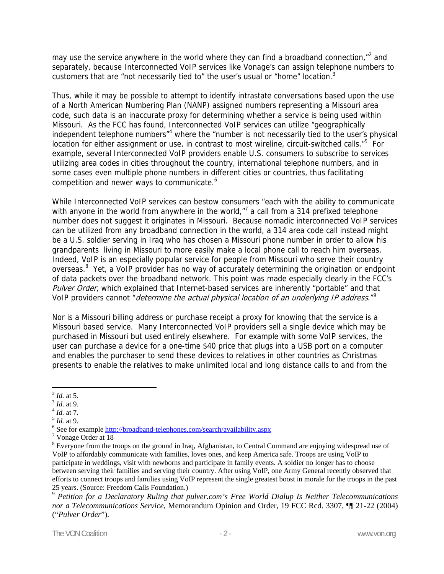may use the service anywhere in the world where they can find a broadband connection, $n^2$  and separately, because Interconnected VoIP services like Vonage's can assign telephone numbers to customers that are "not necessarily tied to" the user's usual or "home" location.<sup>3</sup>

Thus, while it may be possible to attempt to identify intrastate conversations based upon the use of a North American Numbering Plan (NANP) assigned numbers representing a Missouri area code, such data is an inaccurate proxy for determining whether a service is being used within Missouri. As the FCC has found, Interconnected VoIP services can utilize "geographically independent telephone numbers<sup>"4</sup> where the "number is not necessarily tied to the user's physical location for either assignment or use, in contrast to most wireline, circuit-switched calls."<sup>5</sup> For example, several Interconnected VoIP providers enable U.S. consumers to subscribe to services utilizing area codes in cities throughout the country, international telephone numbers, and in some cases even multiple phone numbers in different cities or countries, thus facilitating competition and newer ways to communicate.<sup>6</sup>

While Interconnected VoIP services can bestow consumers "each with the ability to communicate with anyone in the world from anywhere in the world,"<sup>7</sup> a call from a 314 prefixed telephone number does not suggest it originates in Missouri. Because nomadic interconnected VoIP services can be utilized from any broadband connection in the world, a 314 area code call instead might be a U.S. soldier serving in Iraq who has chosen a Missouri phone number in order to allow his grandparents living in Missouri to more easily make a local phone call to reach him overseas. Indeed, VoIP is an especially popular service for people from Missouri who serve their country overseas.<sup>8</sup> Yet, a VoIP provider has no way of accurately determining the origination or endpoint of data packets over the broadband network. This point was made especially clearly in the FCC's Pulver Order, which explained that Internet-based services are inherently "portable" and that VoIP providers cannot "*determine the actual physical location of an underlying IP address*."<sup>9</sup>

Nor is a Missouri billing address or purchase receipt a proxy for knowing that the service is a Missouri based service. Many Interconnected VoIP providers sell a single device which may be purchased in Missouri but used entirely elsewhere. For example with some VoIP services, the user can purchase a device for a one-time \$40 price that plugs into a USB port on a computer and enables the purchaser to send these devices to relatives in other countries as Christmas presents to enable the relatives to make unlimited local and long distance calls to and from the

 $\overline{a}$ 

<sup>2</sup> *Id.* at 5. 3 *Id*. at 9. 4 *Id.* at 7. 5 *Id.* at 9. 6

<sup>&</sup>lt;sup>6</sup> See for example http://broadband-telephones.com/search/availability.aspx

<sup>&</sup>lt;sup>7</sup> Vonage Order at 18

<sup>&</sup>lt;sup>8</sup> Everyone from the troops on the ground in Iraq, Afghanistan, to Central Command are enjoying widespread use of VoIP to affordably communicate with families, loves ones, and keep America safe. Troops are using VoIP to participate in weddings, visit with newborns and participate in family events. A soldier no longer has to choose between serving their families and serving their country. After using VoIP, one Army General recently observed that efforts to connect troops and families using VoIP represent the single greatest boost in morale for the troops in the past 25 years. (Source: Freedom Calls Foundation.)

<sup>9</sup> *Petition for a Declaratory Ruling that pulver.com's Free World Dialup Is Neither Telecommunications nor a Telecommunications Service*, Memorandum Opinion and Order, 19 FCC Rcd. 3307, ¶¶ 21-22 (2004) ("*Pulver Order*").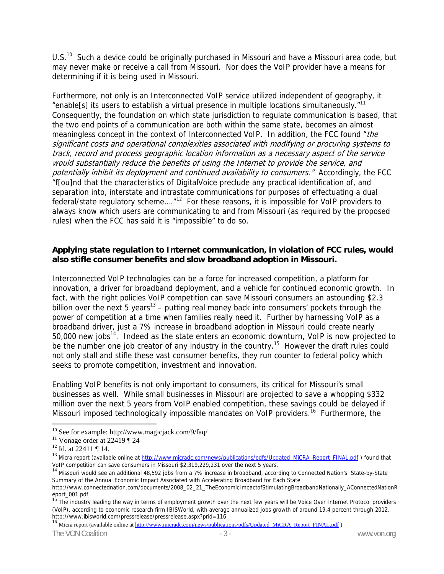U.S.<sup>10</sup> Such a device could be originally purchased in Missouri and have a Missouri area code, but may never make or receive a call from Missouri. Nor does the VoIP provider have a means for determining if it is being used in Missouri.

Furthermore, not only is an Interconnected VoIP service utilized independent of geography, it "enable<sup>[s]</sup> its users to establish a virtual presence in multiple locations simultaneously."<sup>11</sup> Consequently, the foundation on which state jurisdiction to regulate communication is based, that the two end points of a communication are both within the same state, becomes an almost meaningless concept in the context of Interconnected VoIP. In addition, the FCC found "the significant costs and operational complexities associated with modifying or procuring systems to track, record and process geographic location information as a necessary aspect of the service would substantially reduce the benefits of using the Internet to provide the service, and potentially inhibit its deployment and continued availability to consumers." Accordingly, the FCC "f[ou]nd that the characteristics of DigitalVoice preclude any practical identification of, and separation into, interstate and intrastate communications for purposes of effectuating a dual federal/state regulatory scheme...."<sup>12</sup> For these reasons, it is impossible for VoIP providers to always know which users are communicating to and from Missouri (as required by the proposed rules) when the FCC has said it is "impossible" to do so.

## **Applying state regulation to Internet communication, in violation of FCC rules, would also stifle consumer benefits and slow broadband adoption in Missouri.**

Interconnected VoIP technologies can be a force for increased competition, a platform for innovation, a driver for broadband deployment, and a vehicle for continued economic growth. In fact, with the right policies VoIP competition can save Missouri consumers an astounding \$2.3 billion over the next 5 years<sup>13</sup> – putting real money back into consumers' pockets through the power of competition at a time when families really need it. Further by harnessing VoIP as a broadband driver, just a 7% increase in broadband adoption in Missouri could create nearly  $50,000$  new jobs<sup>14</sup>. Indeed as the state enters an economic downturn, VoIP is now projected to be the number one job creator of any industry in the country.<sup>15</sup> However the draft rules could not only stall and stifle these vast consumer benefits, they run counter to federal policy which seeks to promote competition, investment and innovation.

Enabling VoIP benefits is not only important to consumers, its critical for Missouri's small businesses as well. While small businesses in Missouri are projected to save a whopping \$332 million over the next 5 years from VoIP enabled competition, these savings could be delayed if Missouri imposed technologically impossible mandates on VoIP providers.<sup>16</sup> Furthermore, the

 $\overline{a}$ 

<sup>16</sup> Micra report (available online at http://www.micradc.com/news/publications/pdfs/Updated\_MiCRA\_Report\_FINAL.pdf )

The VON Coalition **The VON Coalition** - 3 - The VON Coalition **- 3** - www.von.org

 $10$  See for example: http://www.magicjack.com/9/faq/

<sup>&</sup>lt;sup>11</sup> Vonage order at 22419  $\P$  24

 $12$  Id. at 22411 | 14.

<sup>13</sup> Micra report (available online at http://www.micradc.com/news/publications/pdfs/Updated\_MiCRA\_Report\_FINAL.pdf ) found that VoIP competition can save consumers in Missouri \$2,319,229,231 over the next 5 years.

<sup>&</sup>lt;sup>14</sup> Missouri would see an additional 48,592 jobs from a 7% increase in broadband, according to Connected Nation's State-by-State Summary of the Annual Economic Impact Associated with Accelerating Broadband for Each State

http://www.connectednation.com/documents/2008\_02\_21\_TheEconomicImpactofStimulatingBroadbandNationally\_AConnectedNationR

eport\_001.pdf<br><sup>15</sup> The industry leading the way in terms of employment growth over the next few years will be Voice Over Internet Protocol providers (VoIP), according to economic research firm IBISWorld, with average annualized jobs growth of around 19.4 percent through 2012.<br>http://www.ibisworld.com/pressrelease/pressrelease.aspx?prid=116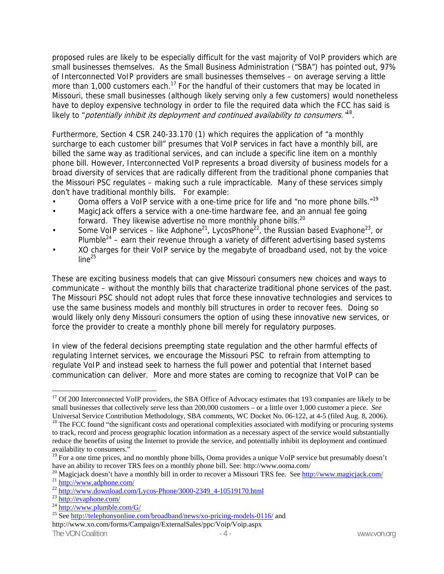proposed rules are likely to be especially difficult for the vast majority of VoIP providers which are small businesses themselves. As the Small Business Administration ("SBA") has pointed out, 97% of Interconnected VoIP providers are small businesses themselves – on average serving a little more than 1,000 customers each.<sup>17</sup> For the handful of their customers that may be located in Missouri, these small businesses (although likely serving only a few customers) would nonetheless have to deploy expensive technology in order to file the required data which the FCC has said is likely to "potentially inhibit its deployment and continued availability to consumers.  $\mathbb{Z}^8$ .

Furthermore, Section 4 CSR 240-33.170 (1) which requires the application of "a monthly surcharge to each customer bill" presumes that VoIP services in fact have a monthly bill, are billed the same way as traditional services, and can include a specific line item on a monthly phone bill. However, Interconnected VoIP represents a broad diversity of business models for a broad diversity of services that are radically different from the traditional phone companies that the Missouri PSC regulates – making such a rule impracticable. Many of these services simply don't have traditional monthly bills. For example:

- Ooma offers a VoIP service with a one-time price for life and "no more phone bills."<sup>19</sup>
- MagicJack offers a service with a one-time hardware fee, and an annual fee going forward. They likewise advertise no more monthly phone bills.<sup>20</sup>
- Some VoIP services like Adphone<sup>21</sup>, LycosPhone<sup>22</sup>, the Russian based Evaphone<sup>23</sup>, or Plumble<sup>24</sup> – earn their revenue through a variety of different advertising based systems
- XO charges for their VoIP service by the megabyte of broadband used, not by the voice  $line<sup>25</sup>$

These are exciting business models that can give Missouri consumers new choices and ways to communicate – without the monthly bills that characterize traditional phone services of the past. The Missouri PSC should not adopt rules that force these innovative technologies and services to use the same business models and monthly bill structures in order to recover fees. Doing so would likely only deny Missouri consumers the option of using these innovative new services, or force the provider to create a monthly phone bill merely for regulatory purposes.

In view of the federal decisions preempting state regulation and the other harmful effects of regulating Internet services, we encourage the Missouri PSC to refrain from attempting to regulate VoIP and instead seek to harness the full power and potential that Internet based communication can deliver. More and more states are coming to recognize that VoIP can be

 $\overline{a}$ 

<sup>&</sup>lt;sup>17</sup> Of 200 Interconnected VoIP providers, the SBA Office of Advocacy estimates that 193 companies are likely to be small businesses that collectively serve less than 200,000 customers – or a little over 1,000 customer a piece. *See* Universal Service Contribution Methodology, SBA comments, WC Docket No. 06-122, at 4-5 (filed Aug. 8, 2006).

 $18$  The FCC found "the significant costs and operational complexities associated with modifying or procuring systems to track, record and process geographic location information as a necessary aspect of the service would substantially reduce the benefits of using the Internet to provide the service, and potentially inhibit its deployment and continued availability to consumers."

<sup>&</sup>lt;sup>19</sup> For a one time prices, and no monthly phone bills, Ooma provides a unique VoIP service but presumably doesn't have an ability to recover TRS fees on a monthly phone bill. See: http://www.ooma.com/

<sup>&</sup>lt;sup>20</sup> Magicjack doesn't have a monthly bill in order to recover a Missouri TRS fee. See <u>http://www.magicjack.com/</u><br><sup>21</sup> http://www.adphone.com/<br><sup>22</sup> http://www.download.com/Lycos-Phone/3000-2349\_4-10519170.html<br><sup>23</sup> http:

The VON Coalition **The VON Coalition**  $-4$  http://www.xo.com/forms/Campaign/ExternalSales/ppc/Voip/Voip.aspx